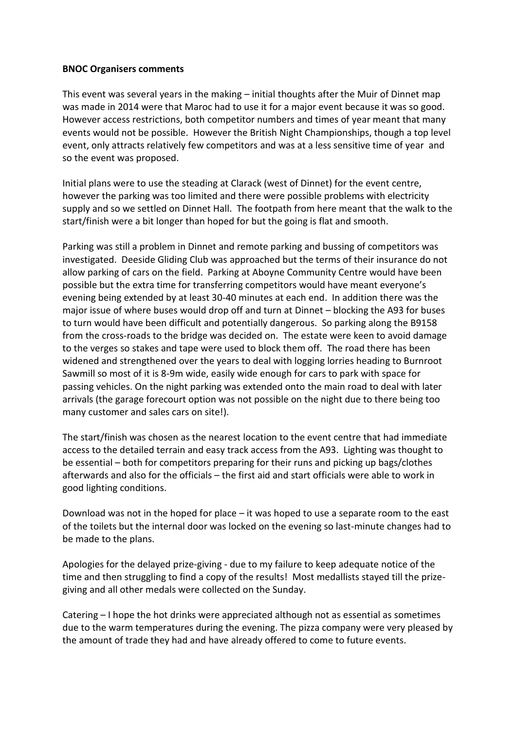## **BNOC Organisers comments**

This event was several years in the making – initial thoughts after the Muir of Dinnet map was made in 2014 were that Maroc had to use it for a major event because it was so good. However access restrictions, both competitor numbers and times of year meant that many events would not be possible. However the British Night Championships, though a top level event, only attracts relatively few competitors and was at a less sensitive time of year and so the event was proposed.

Initial plans were to use the steading at Clarack (west of Dinnet) for the event centre, however the parking was too limited and there were possible problems with electricity supply and so we settled on Dinnet Hall. The footpath from here meant that the walk to the start/finish were a bit longer than hoped for but the going is flat and smooth.

Parking was still a problem in Dinnet and remote parking and bussing of competitors was investigated. Deeside Gliding Club was approached but the terms of their insurance do not allow parking of cars on the field. Parking at Aboyne Community Centre would have been possible but the extra time for transferring competitors would have meant everyone's evening being extended by at least 30-40 minutes at each end. In addition there was the major issue of where buses would drop off and turn at Dinnet – blocking the A93 for buses to turn would have been difficult and potentially dangerous. So parking along the B9158 from the cross-roads to the bridge was decided on. The estate were keen to avoid damage to the verges so stakes and tape were used to block them off. The road there has been widened and strengthened over the years to deal with logging lorries heading to Burnroot Sawmill so most of it is 8-9m wide, easily wide enough for cars to park with space for passing vehicles. On the night parking was extended onto the main road to deal with later arrivals (the garage forecourt option was not possible on the night due to there being too many customer and sales cars on site!).

The start/finish was chosen as the nearest location to the event centre that had immediate access to the detailed terrain and easy track access from the A93. Lighting was thought to be essential – both for competitors preparing for their runs and picking up bags/clothes afterwards and also for the officials – the first aid and start officials were able to work in good lighting conditions.

Download was not in the hoped for place – it was hoped to use a separate room to the east of the toilets but the internal door was locked on the evening so last-minute changes had to be made to the plans.

Apologies for the delayed prize-giving - due to my failure to keep adequate notice of the time and then struggling to find a copy of the results! Most medallists stayed till the prizegiving and all other medals were collected on the Sunday.

Catering – I hope the hot drinks were appreciated although not as essential as sometimes due to the warm temperatures during the evening. The pizza company were very pleased by the amount of trade they had and have already offered to come to future events.